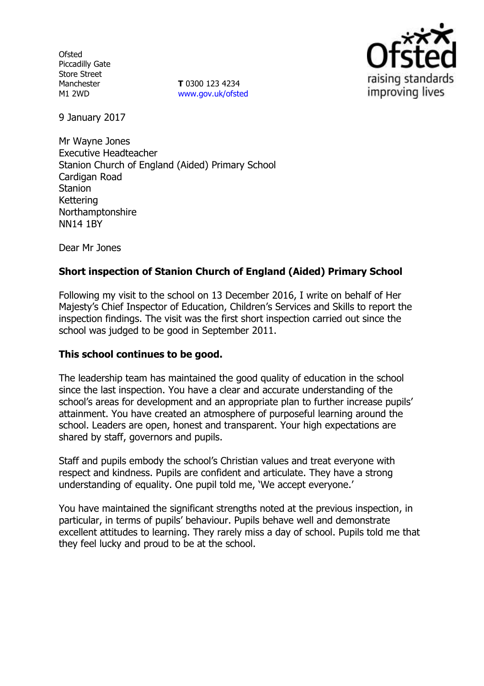**Ofsted** Piccadilly Gate Store Street Manchester M1 2WD

**T** 0300 123 4234 [www.gov.uk/ofsted](http://www.gov.uk/ofsted)



9 January 2017

Mr Wayne Jones Executive Headteacher Stanion Church of England (Aided) Primary School Cardigan Road **Stanion** Kettering Northamptonshire NN14 1BY

Dear Mr Jones

## **Short inspection of Stanion Church of England (Aided) Primary School**

Following my visit to the school on 13 December 2016, I write on behalf of Her Majesty's Chief Inspector of Education, Children's Services and Skills to report the inspection findings. The visit was the first short inspection carried out since the school was judged to be good in September 2011.

#### **This school continues to be good.**

The leadership team has maintained the good quality of education in the school since the last inspection. You have a clear and accurate understanding of the school's areas for development and an appropriate plan to further increase pupils' attainment. You have created an atmosphere of purposeful learning around the school. Leaders are open, honest and transparent. Your high expectations are shared by staff, governors and pupils.

Staff and pupils embody the school's Christian values and treat everyone with respect and kindness. Pupils are confident and articulate. They have a strong understanding of equality. One pupil told me, 'We accept everyone.'

You have maintained the significant strengths noted at the previous inspection, in particular, in terms of pupils' behaviour. Pupils behave well and demonstrate excellent attitudes to learning. They rarely miss a day of school. Pupils told me that they feel lucky and proud to be at the school.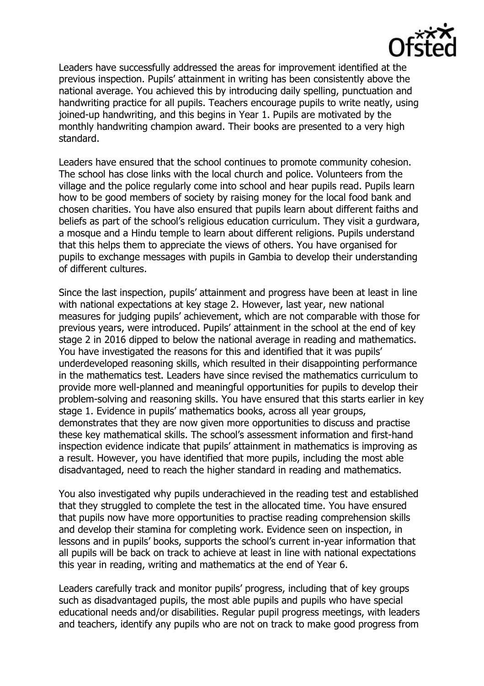

Leaders have successfully addressed the areas for improvement identified at the previous inspection. Pupils' attainment in writing has been consistently above the national average. You achieved this by introducing daily spelling, punctuation and handwriting practice for all pupils. Teachers encourage pupils to write neatly, using joined-up handwriting, and this begins in Year 1. Pupils are motivated by the monthly handwriting champion award. Their books are presented to a very high standard.

Leaders have ensured that the school continues to promote community cohesion. The school has close links with the local church and police. Volunteers from the village and the police regularly come into school and hear pupils read. Pupils learn how to be good members of society by raising money for the local food bank and chosen charities. You have also ensured that pupils learn about different faiths and beliefs as part of the school's religious education curriculum. They visit a gurdwara, a mosque and a Hindu temple to learn about different religions. Pupils understand that this helps them to appreciate the views of others. You have organised for pupils to exchange messages with pupils in Gambia to develop their understanding of different cultures.

Since the last inspection, pupils' attainment and progress have been at least in line with national expectations at key stage 2. However, last year, new national measures for judging pupils' achievement, which are not comparable with those for previous years, were introduced. Pupils' attainment in the school at the end of key stage 2 in 2016 dipped to below the national average in reading and mathematics. You have investigated the reasons for this and identified that it was pupils' underdeveloped reasoning skills, which resulted in their disappointing performance in the mathematics test. Leaders have since revised the mathematics curriculum to provide more well-planned and meaningful opportunities for pupils to develop their problem-solving and reasoning skills. You have ensured that this starts earlier in key stage 1. Evidence in pupils' mathematics books, across all year groups, demonstrates that they are now given more opportunities to discuss and practise these key mathematical skills. The school's assessment information and first-hand inspection evidence indicate that pupils' attainment in mathematics is improving as a result. However, you have identified that more pupils, including the most able disadvantaged, need to reach the higher standard in reading and mathematics.

You also investigated why pupils underachieved in the reading test and established that they struggled to complete the test in the allocated time. You have ensured that pupils now have more opportunities to practise reading comprehension skills and develop their stamina for completing work. Evidence seen on inspection, in lessons and in pupils' books, supports the school's current in-year information that all pupils will be back on track to achieve at least in line with national expectations this year in reading, writing and mathematics at the end of Year 6.

Leaders carefully track and monitor pupils' progress, including that of key groups such as disadvantaged pupils, the most able pupils and pupils who have special educational needs and/or disabilities. Regular pupil progress meetings, with leaders and teachers, identify any pupils who are not on track to make good progress from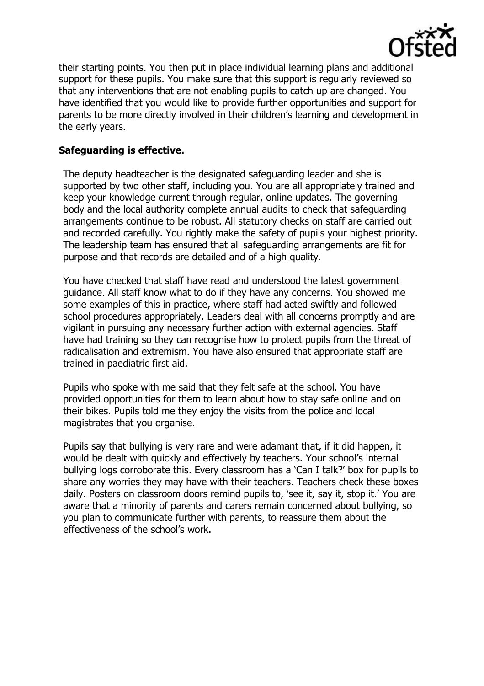

their starting points. You then put in place individual learning plans and additional support for these pupils. You make sure that this support is regularly reviewed so that any interventions that are not enabling pupils to catch up are changed. You have identified that you would like to provide further opportunities and support for parents to be more directly involved in their children's learning and development in the early years.

### **Safeguarding is effective.**

The deputy headteacher is the designated safeguarding leader and she is supported by two other staff, including you. You are all appropriately trained and keep your knowledge current through regular, online updates. The governing body and the local authority complete annual audits to check that safeguarding arrangements continue to be robust. All statutory checks on staff are carried out and recorded carefully. You rightly make the safety of pupils your highest priority. The leadership team has ensured that all safeguarding arrangements are fit for purpose and that records are detailed and of a high quality.

You have checked that staff have read and understood the latest government guidance. All staff know what to do if they have any concerns. You showed me some examples of this in practice, where staff had acted swiftly and followed school procedures appropriately. Leaders deal with all concerns promptly and are vigilant in pursuing any necessary further action with external agencies. Staff have had training so they can recognise how to protect pupils from the threat of radicalisation and extremism. You have also ensured that appropriate staff are trained in paediatric first aid.

Pupils who spoke with me said that they felt safe at the school. You have provided opportunities for them to learn about how to stay safe online and on their bikes. Pupils told me they enjoy the visits from the police and local magistrates that you organise.

Pupils say that bullying is very rare and were adamant that, if it did happen, it would be dealt with quickly and effectively by teachers. Your school's internal bullying logs corroborate this. Every classroom has a 'Can I talk?' box for pupils to share any worries they may have with their teachers. Teachers check these boxes daily. Posters on classroom doors remind pupils to, 'see it, say it, stop it.' You are aware that a minority of parents and carers remain concerned about bullying, so you plan to communicate further with parents, to reassure them about the effectiveness of the school's work.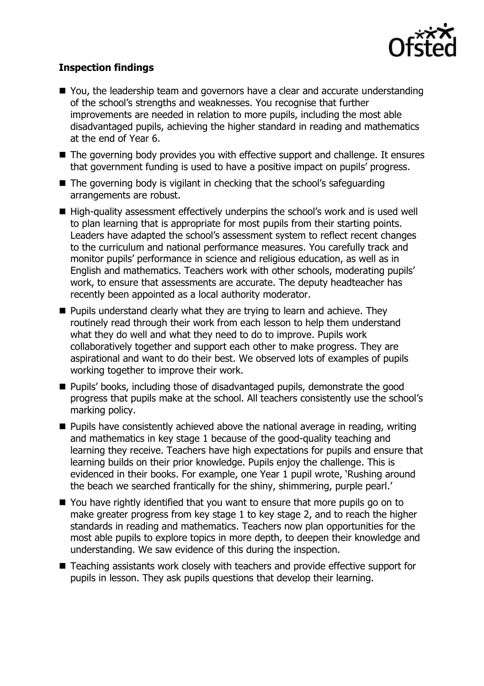

# **Inspection findings**

- You, the leadership team and governors have a clear and accurate understanding of the school's strengths and weaknesses. You recognise that further improvements are needed in relation to more pupils, including the most able disadvantaged pupils, achieving the higher standard in reading and mathematics at the end of Year 6.
- The governing body provides you with effective support and challenge. It ensures that government funding is used to have a positive impact on pupils' progress.
- The governing body is vigilant in checking that the school's safeguarding arrangements are robust.
- High-quality assessment effectively underpins the school's work and is used well to plan learning that is appropriate for most pupils from their starting points. Leaders have adapted the school's assessment system to reflect recent changes to the curriculum and national performance measures. You carefully track and monitor pupils' performance in science and religious education, as well as in English and mathematics. Teachers work with other schools, moderating pupils' work, to ensure that assessments are accurate. The deputy headteacher has recently been appointed as a local authority moderator.
- **Pupils understand clearly what they are trying to learn and achieve. They** routinely read through their work from each lesson to help them understand what they do well and what they need to do to improve. Pupils work collaboratively together and support each other to make progress. They are aspirational and want to do their best. We observed lots of examples of pupils working together to improve their work.
- **Pupils' books, including those of disadvantaged pupils, demonstrate the good** progress that pupils make at the school. All teachers consistently use the school's marking policy.
- $\blacksquare$  Pupils have consistently achieved above the national average in reading, writing and mathematics in key stage 1 because of the good-quality teaching and learning they receive. Teachers have high expectations for pupils and ensure that learning builds on their prior knowledge. Pupils enjoy the challenge. This is evidenced in their books. For example, one Year 1 pupil wrote, 'Rushing around the beach we searched frantically for the shiny, shimmering, purple pearl.'
- You have rightly identified that you want to ensure that more pupils go on to make greater progress from key stage 1 to key stage 2, and to reach the higher standards in reading and mathematics. Teachers now plan opportunities for the most able pupils to explore topics in more depth, to deepen their knowledge and understanding. We saw evidence of this during the inspection.
- Teaching assistants work closely with teachers and provide effective support for pupils in lesson. They ask pupils questions that develop their learning.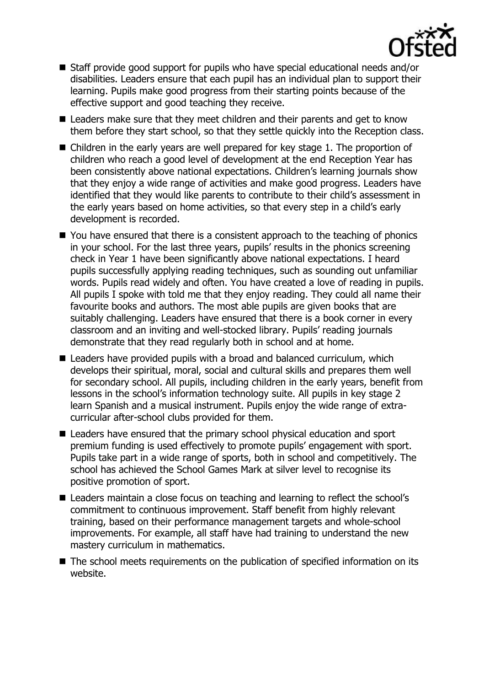

- Staff provide good support for pupils who have special educational needs and/or disabilities. Leaders ensure that each pupil has an individual plan to support their learning. Pupils make good progress from their starting points because of the effective support and good teaching they receive.
- Leaders make sure that they meet children and their parents and get to know them before they start school, so that they settle quickly into the Reception class.
- Children in the early years are well prepared for key stage 1. The proportion of children who reach a good level of development at the end Reception Year has been consistently above national expectations. Children's learning journals show that they enjoy a wide range of activities and make good progress. Leaders have identified that they would like parents to contribute to their child's assessment in the early years based on home activities, so that every step in a child's early development is recorded.
- You have ensured that there is a consistent approach to the teaching of phonics in your school. For the last three years, pupils' results in the phonics screening check in Year 1 have been significantly above national expectations. I heard pupils successfully applying reading techniques, such as sounding out unfamiliar words. Pupils read widely and often. You have created a love of reading in pupils. All pupils I spoke with told me that they enjoy reading. They could all name their favourite books and authors. The most able pupils are given books that are suitably challenging. Leaders have ensured that there is a book corner in every classroom and an inviting and well-stocked library. Pupils' reading journals demonstrate that they read regularly both in school and at home.
- Leaders have provided pupils with a broad and balanced curriculum, which develops their spiritual, moral, social and cultural skills and prepares them well for secondary school. All pupils, including children in the early years, benefit from lessons in the school's information technology suite. All pupils in key stage 2 learn Spanish and a musical instrument. Pupils enjoy the wide range of extracurricular after-school clubs provided for them.
- Leaders have ensured that the primary school physical education and sport premium funding is used effectively to promote pupils' engagement with sport. Pupils take part in a wide range of sports, both in school and competitively. The school has achieved the School Games Mark at silver level to recognise its positive promotion of sport.
- Leaders maintain a close focus on teaching and learning to reflect the school's commitment to continuous improvement. Staff benefit from highly relevant training, based on their performance management targets and whole-school improvements. For example, all staff have had training to understand the new mastery curriculum in mathematics.
- The school meets requirements on the publication of specified information on its website.